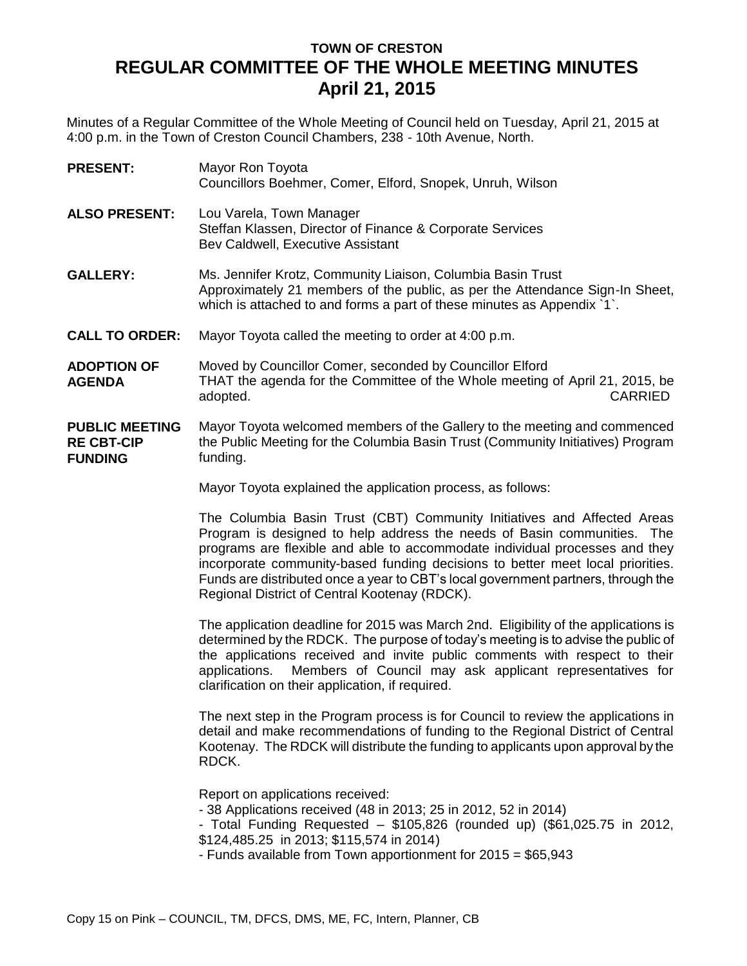## **TOWN OF CRESTON REGULAR COMMITTEE OF THE WHOLE MEETING MINUTES April 21, 2015**

Minutes of a Regular Committee of the Whole Meeting of Council held on Tuesday, April 21, 2015 at 4:00 p.m. in the Town of Creston Council Chambers, 238 - 10th Avenue, North.

| <b>PRESENT:</b>                                              | Mayor Ron Toyota<br>Councillors Boehmer, Comer, Elford, Snopek, Unruh, Wilson                                                                                                                                                                                                                                                                                                                                                                             |
|--------------------------------------------------------------|-----------------------------------------------------------------------------------------------------------------------------------------------------------------------------------------------------------------------------------------------------------------------------------------------------------------------------------------------------------------------------------------------------------------------------------------------------------|
| <b>ALSO PRESENT:</b>                                         | Lou Varela, Town Manager<br>Steffan Klassen, Director of Finance & Corporate Services<br>Bev Caldwell, Executive Assistant                                                                                                                                                                                                                                                                                                                                |
| <b>GALLERY:</b>                                              | Ms. Jennifer Krotz, Community Liaison, Columbia Basin Trust<br>Approximately 21 members of the public, as per the Attendance Sign-In Sheet,<br>which is attached to and forms a part of these minutes as Appendix '1'.                                                                                                                                                                                                                                    |
| <b>CALL TO ORDER:</b>                                        | Mayor Toyota called the meeting to order at 4:00 p.m.                                                                                                                                                                                                                                                                                                                                                                                                     |
| <b>ADOPTION OF</b><br><b>AGENDA</b>                          | Moved by Councillor Comer, seconded by Councillor Elford<br>THAT the agenda for the Committee of the Whole meeting of April 21, 2015, be<br><b>CARRIED</b><br>adopted.                                                                                                                                                                                                                                                                                    |
| <b>PUBLIC MEETING</b><br><b>RE CBT-CIP</b><br><b>FUNDING</b> | Mayor Toyota welcomed members of the Gallery to the meeting and commenced<br>the Public Meeting for the Columbia Basin Trust (Community Initiatives) Program<br>funding.                                                                                                                                                                                                                                                                                  |
|                                                              | Mayor Toyota explained the application process, as follows:                                                                                                                                                                                                                                                                                                                                                                                               |
|                                                              | The Columbia Basin Trust (CBT) Community Initiatives and Affected Areas<br>Program is designed to help address the needs of Basin communities. The<br>programs are flexible and able to accommodate individual processes and they<br>incorporate community-based funding decisions to better meet local priorities.<br>Funds are distributed once a year to CBT's local government partners, through the<br>Regional District of Central Kootenay (RDCK). |
|                                                              | The application deadline for 2015 was March 2nd. Eligibility of the applications is<br>determined by the RDCK. The purpose of today's meeting is to advise the public of<br>the applications received and invite public comments with respect to their<br>Members of Council may ask applicant representatives for<br>applications.<br>clarification on their application, if required.                                                                   |
|                                                              | The next step in the Program process is for Council to review the applications in<br>detail and make recommendations of funding to the Regional District of Central<br>Kootenay. The RDCK will distribute the funding to applicants upon approval by the<br>RDCK.                                                                                                                                                                                         |
|                                                              | Report on applications received:<br>- 38 Applications received (48 in 2013; 25 in 2012, 52 in 2014)<br>- Total Funding Requested $-$ \$105,826 (rounded up) (\$61,025.75 in 2012,<br>\$124,485.25 in 2013; \$115,574 in 2014)<br>- Funds available from Town apportionment for 2015 = \$65,943                                                                                                                                                            |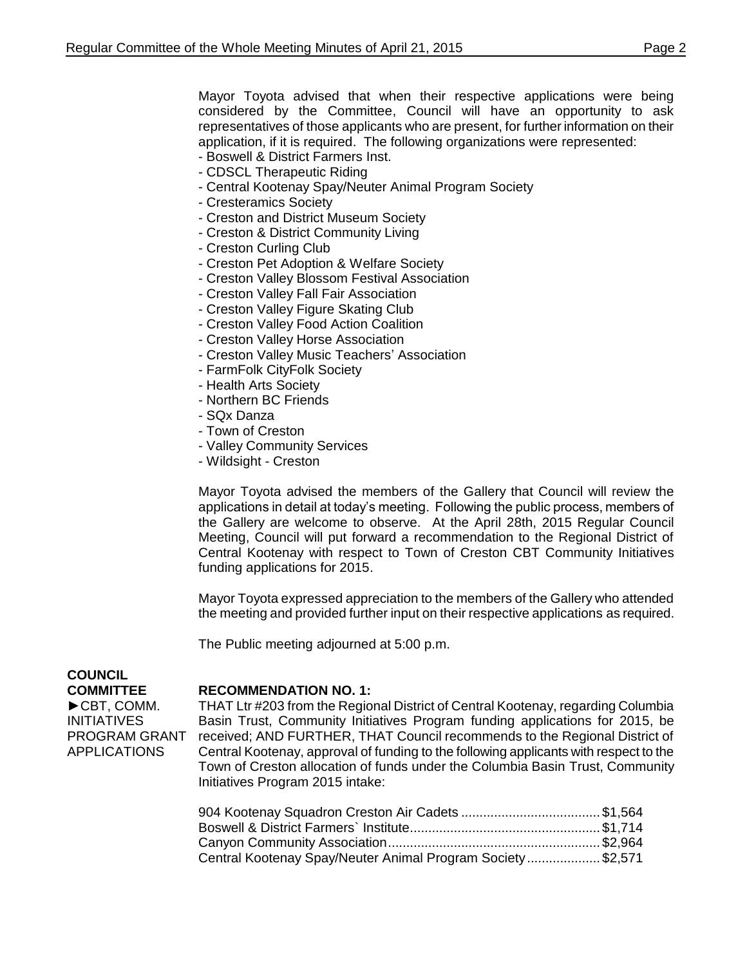Mayor Toyota advised that when their respective applications were being considered by the Committee, Council will have an opportunity to ask representatives of those applicants who are present, for further information on their application, if it is required. The following organizations were represented:

- Boswell & District Farmers Inst.
- CDSCL Therapeutic Riding
- Central Kootenay Spay/Neuter Animal Program Society
- Cresteramics Society
- Creston and District Museum Society
- Creston & District Community Living
- Creston Curling Club
- Creston Pet Adoption & Welfare Society
- Creston Valley Blossom Festival Association
- Creston Valley Fall Fair Association
- Creston Valley Figure Skating Club
- Creston Valley Food Action Coalition
- Creston Valley Horse Association
- Creston Valley Music Teachers' Association
- FarmFolk CityFolk Society
- Health Arts Society
- Northern BC Friends
- SQx Danza
- Town of Creston
- Valley Community Services
- Wildsight Creston

Mayor Toyota advised the members of the Gallery that Council will review the applications in detail at today's meeting. Following the public process, members of the Gallery are welcome to observe. At the April 28th, 2015 Regular Council Meeting, Council will put forward a recommendation to the Regional District of Central Kootenay with respect to Town of Creston CBT Community Initiatives funding applications for 2015.

Mayor Toyota expressed appreciation to the members of the Gallery who attended the meeting and provided further input on their respective applications as required.

The Public meeting adjourned at 5:00 p.m.

## **COUNCIL COMMITTEE**

►CBT, COMM. INITIATIVES PROGRAM GRANT APPLICATIONS

## **RECOMMENDATION NO. 1:**

THAT Ltr #203 from the Regional District of Central Kootenay, regarding Columbia Basin Trust, Community Initiatives Program funding applications for 2015, be received; AND FURTHER, THAT Council recommends to the Regional District of Central Kootenay, approval of funding to the following applicants with respect to the Town of Creston allocation of funds under the Columbia Basin Trust, Community Initiatives Program 2015 intake:

| Central Kootenay Spay/Neuter Animal Program Society\$2,571 |  |
|------------------------------------------------------------|--|